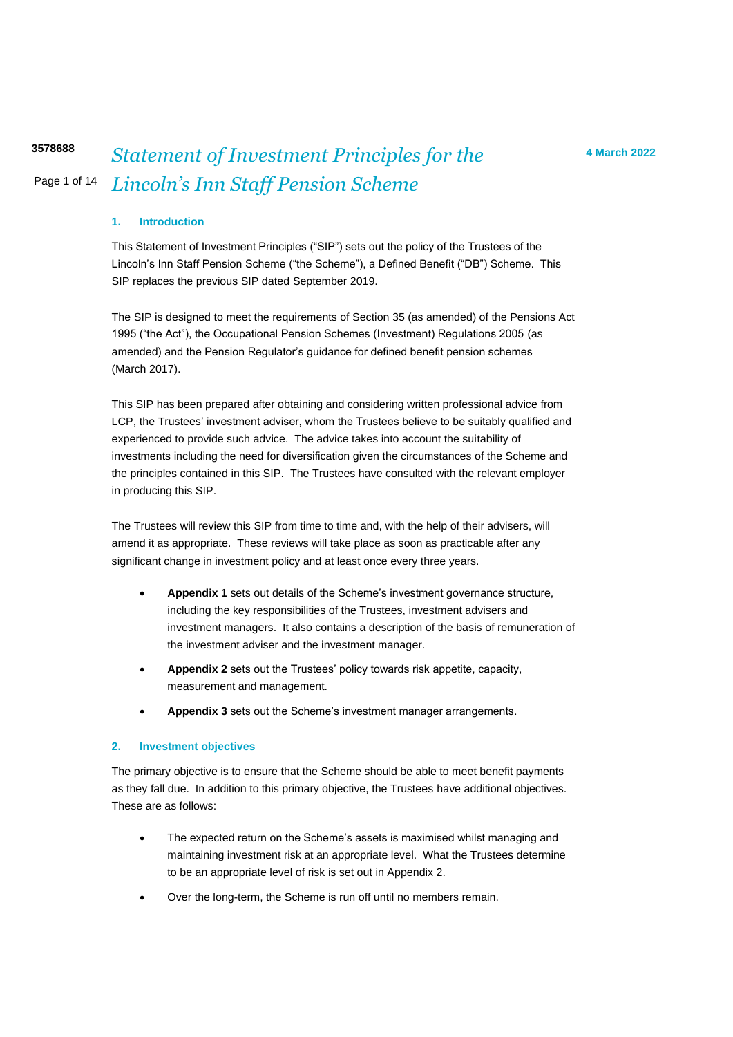### **1. Introduction**

This Statement of Investment Principles ("SIP") sets out the policy of the Trustees of the Lincoln's Inn Staff Pension Scheme ("the Scheme"), a Defined Benefit ("DB") Scheme. This SIP replaces the previous SIP dated September 2019.

The SIP is designed to meet the requirements of Section 35 (as amended) of the Pensions Act 1995 ("the Act"), the Occupational Pension Schemes (Investment) Regulations 2005 (as amended) and the Pension Regulator's guidance for defined benefit pension schemes (March 2017).

This SIP has been prepared after obtaining and considering written professional advice from LCP, the Trustees' investment adviser, whom the Trustees believe to be suitably qualified and experienced to provide such advice. The advice takes into account the suitability of investments including the need for diversification given the circumstances of the Scheme and the principles contained in this SIP. The Trustees have consulted with the relevant employer in producing this SIP.

The Trustees will review this SIP from time to time and, with the help of their advisers, will amend it as appropriate. These reviews will take place as soon as practicable after any significant change in investment policy and at least once every three years.

- **Appendix 1** sets out details of the Scheme's investment governance structure, including the key responsibilities of the Trustees, investment advisers and investment managers. It also contains a description of the basis of remuneration of the investment adviser and the investment manager.
- **Appendix 2** sets out the Trustees' policy towards risk appetite, capacity, measurement and management.
- **Appendix 3** sets out the Scheme's investment manager arrangements.

#### **2. Investment objectives**

The primary objective is to ensure that the Scheme should be able to meet benefit payments as they fall due. In addition to this primary objective, the Trustees have additional objectives. These are as follows:

- The expected return on the Scheme's assets is maximised whilst managing and maintaining investment risk at an appropriate level. What the Trustees determine to be an appropriate level of risk is set out in Appendix 2.
- Over the long-term, the Scheme is run off until no members remain.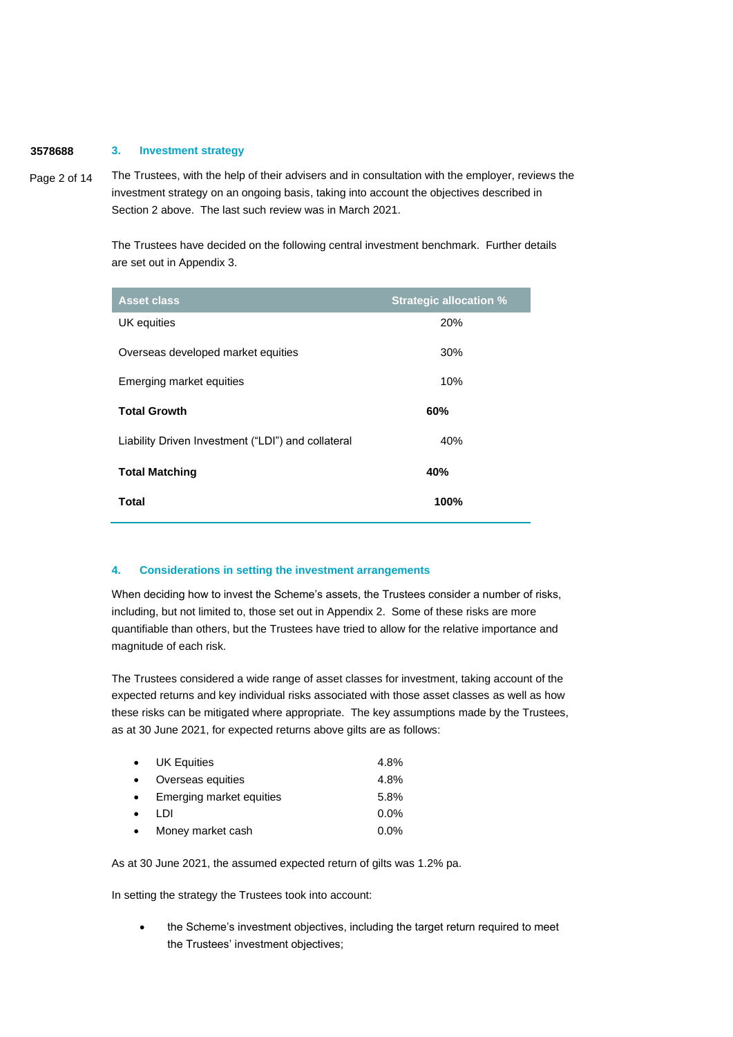#### **3578688 3. Investment strategy**

Page 2 of 14 The Trustees, with the help of their advisers and in consultation with the employer, reviews the investment strategy on an ongoing basis, taking into account the objectives described in Section 2 above. The last such review was in March 2021.

> The Trustees have decided on the following central investment benchmark. Further details are set out in Appendix 3.

| <b>Asset class</b>                                 | <b>Strategic allocation %</b> |
|----------------------------------------------------|-------------------------------|
| UK equities                                        | 20%                           |
| Overseas developed market equities                 | 30%                           |
| Emerging market equities                           | 10%                           |
| <b>Total Growth</b>                                | 60%                           |
| Liability Driven Investment ("LDI") and collateral | 40%                           |
| <b>Total Matching</b>                              | 40%                           |
| Total                                              | 100%                          |

#### **4. Considerations in setting the investment arrangements**

When deciding how to invest the Scheme's assets, the Trustees consider a number of risks, including, but not limited to, those set out in Appendix 2. Some of these risks are more quantifiable than others, but the Trustees have tried to allow for the relative importance and magnitude of each risk.

The Trustees considered a wide range of asset classes for investment, taking account of the expected returns and key individual risks associated with those asset classes as well as how these risks can be mitigated where appropriate. The key assumptions made by the Trustees, as at 30 June 2021, for expected returns above gilts are as follows:

| $\bullet$ | <b>UK Equities</b>       | 4.8% |
|-----------|--------------------------|------|
| $\bullet$ | Overseas equities        | 4.8% |
| $\bullet$ | Emerging market equities | 5.8% |
| $\bullet$ | וח ו                     | 0.0% |
|           | Money market cash        | 0.0% |

As at 30 June 2021, the assumed expected return of gilts was 1.2% pa.

In setting the strategy the Trustees took into account:

the Scheme's investment objectives, including the target return required to meet the Trustees' investment objectives;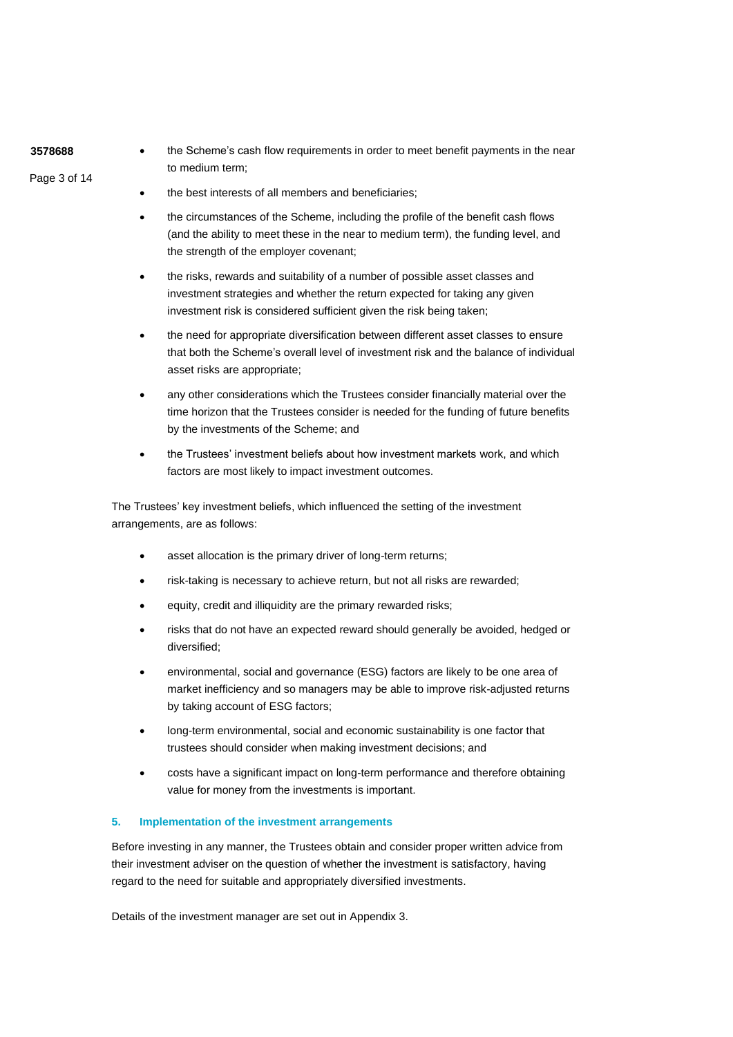**3578688**

Page 3 of 14

• the Scheme's cash flow requirements in order to meet benefit payments in the near to medium term;

- the best interests of all members and beneficiaries;
- the circumstances of the Scheme, including the profile of the benefit cash flows (and the ability to meet these in the near to medium term), the funding level, and the strength of the employer covenant;
- the risks, rewards and suitability of a number of possible asset classes and investment strategies and whether the return expected for taking any given investment risk is considered sufficient given the risk being taken;
- the need for appropriate diversification between different asset classes to ensure that both the Scheme's overall level of investment risk and the balance of individual asset risks are appropriate;
- any other considerations which the Trustees consider financially material over the time horizon that the Trustees consider is needed for the funding of future benefits by the investments of the Scheme; and
- the Trustees' investment beliefs about how investment markets work, and which factors are most likely to impact investment outcomes.

The Trustees' key investment beliefs, which influenced the setting of the investment arrangements, are as follows:

- asset allocation is the primary driver of long-term returns;
- risk-taking is necessary to achieve return, but not all risks are rewarded;
- equity, credit and illiquidity are the primary rewarded risks;
- risks that do not have an expected reward should generally be avoided, hedged or diversified;
- environmental, social and governance (ESG) factors are likely to be one area of market inefficiency and so managers may be able to improve risk-adjusted returns by taking account of ESG factors;
- long-term environmental, social and economic sustainability is one factor that trustees should consider when making investment decisions; and
- costs have a significant impact on long-term performance and therefore obtaining value for money from the investments is important.

## **5. Implementation of the investment arrangements**

Before investing in any manner, the Trustees obtain and consider proper written advice from their investment adviser on the question of whether the investment is satisfactory, having regard to the need for suitable and appropriately diversified investments.

Details of the investment manager are set out in Appendix 3.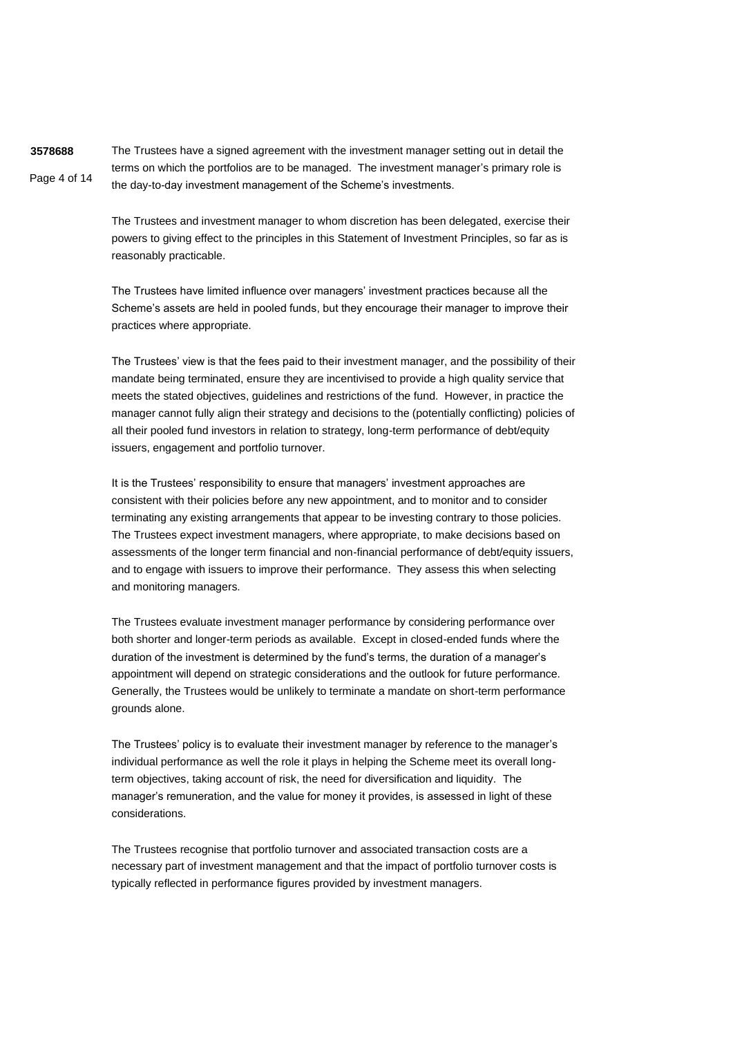**3578688** Page 4 of 14 The Trustees have a signed agreement with the investment manager setting out in detail the terms on which the portfolios are to be managed. The investment manager's primary role is the day-to-day investment management of the Scheme's investments.

> The Trustees and investment manager to whom discretion has been delegated, exercise their powers to giving effect to the principles in this Statement of Investment Principles, so far as is reasonably practicable.

> The Trustees have limited influence over managers' investment practices because all the Scheme's assets are held in pooled funds, but they encourage their manager to improve their practices where appropriate.

The Trustees' view is that the fees paid to their investment manager, and the possibility of their mandate being terminated, ensure they are incentivised to provide a high quality service that meets the stated objectives, guidelines and restrictions of the fund. However, in practice the manager cannot fully align their strategy and decisions to the (potentially conflicting) policies of all their pooled fund investors in relation to strategy, long-term performance of debt/equity issuers, engagement and portfolio turnover.

It is the Trustees' responsibility to ensure that managers' investment approaches are consistent with their policies before any new appointment, and to monitor and to consider terminating any existing arrangements that appear to be investing contrary to those policies. The Trustees expect investment managers, where appropriate, to make decisions based on assessments of the longer term financial and non-financial performance of debt/equity issuers, and to engage with issuers to improve their performance. They assess this when selecting and monitoring managers.

The Trustees evaluate investment manager performance by considering performance over both shorter and longer-term periods as available. Except in closed-ended funds where the duration of the investment is determined by the fund's terms, the duration of a manager's appointment will depend on strategic considerations and the outlook for future performance. Generally, the Trustees would be unlikely to terminate a mandate on short-term performance grounds alone.

The Trustees' policy is to evaluate their investment manager by reference to the manager's individual performance as well the role it plays in helping the Scheme meet its overall longterm objectives, taking account of risk, the need for diversification and liquidity. The manager's remuneration, and the value for money it provides, is assessed in light of these considerations.

The Trustees recognise that portfolio turnover and associated transaction costs are a necessary part of investment management and that the impact of portfolio turnover costs is typically reflected in performance figures provided by investment managers.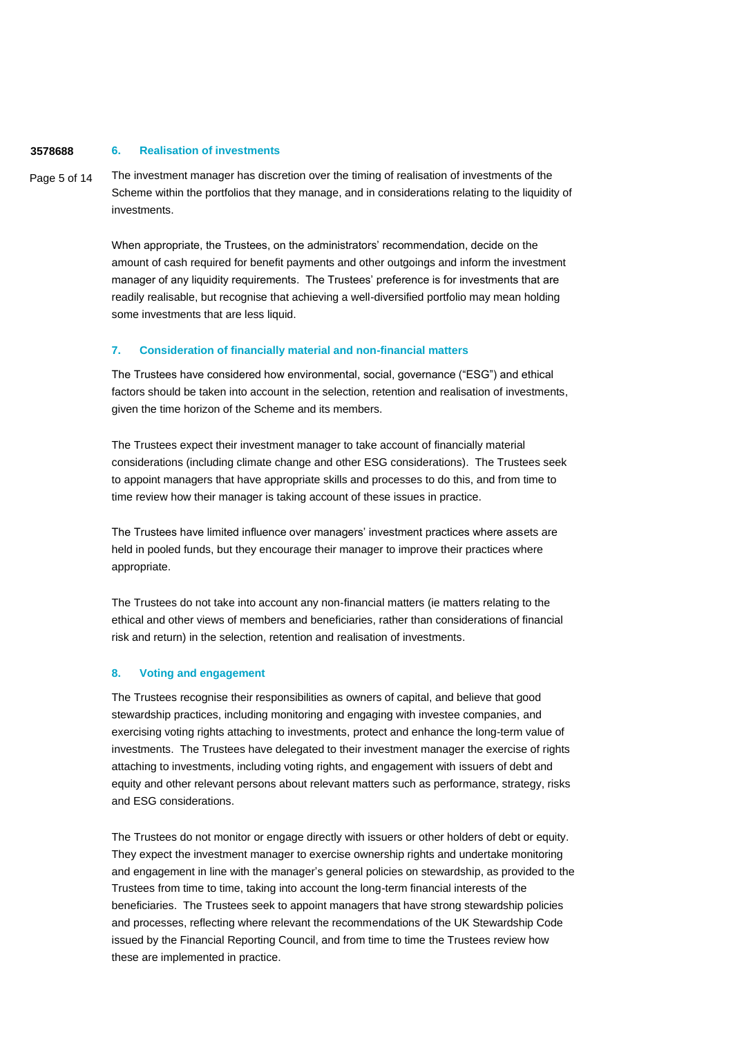#### **3578688 6. Realisation of investments**

Page 5 of 14 The investment manager has discretion over the timing of realisation of investments of the Scheme within the portfolios that they manage, and in considerations relating to the liquidity of investments.

> When appropriate, the Trustees, on the administrators' recommendation, decide on the amount of cash required for benefit payments and other outgoings and inform the investment manager of any liquidity requirements. The Trustees' preference is for investments that are readily realisable, but recognise that achieving a well-diversified portfolio may mean holding some investments that are less liquid.

### **7. Consideration of financially material and non-financial matters**

The Trustees have considered how environmental, social, governance ("ESG") and ethical factors should be taken into account in the selection, retention and realisation of investments, given the time horizon of the Scheme and its members.

The Trustees expect their investment manager to take account of financially material considerations (including climate change and other ESG considerations). The Trustees seek to appoint managers that have appropriate skills and processes to do this, and from time to time review how their manager is taking account of these issues in practice.

The Trustees have limited influence over managers' investment practices where assets are held in pooled funds, but they encourage their manager to improve their practices where appropriate.

The Trustees do not take into account any non-financial matters (ie matters relating to the ethical and other views of members and beneficiaries, rather than considerations of financial risk and return) in the selection, retention and realisation of investments.

#### **8. Voting and engagement**

The Trustees recognise their responsibilities as owners of capital, and believe that good stewardship practices, including monitoring and engaging with investee companies, and exercising voting rights attaching to investments, protect and enhance the long-term value of investments. The Trustees have delegated to their investment manager the exercise of rights attaching to investments, including voting rights, and engagement with issuers of debt and equity and other relevant persons about relevant matters such as performance, strategy, risks and ESG considerations.

The Trustees do not monitor or engage directly with issuers or other holders of debt or equity. They expect the investment manager to exercise ownership rights and undertake monitoring and engagement in line with the manager's general policies on stewardship, as provided to the Trustees from time to time, taking into account the long-term financial interests of the beneficiaries. The Trustees seek to appoint managers that have strong stewardship policies and processes, reflecting where relevant the recommendations of the UK Stewardship Code issued by the Financial Reporting Council, and from time to time the Trustees review how these are implemented in practice.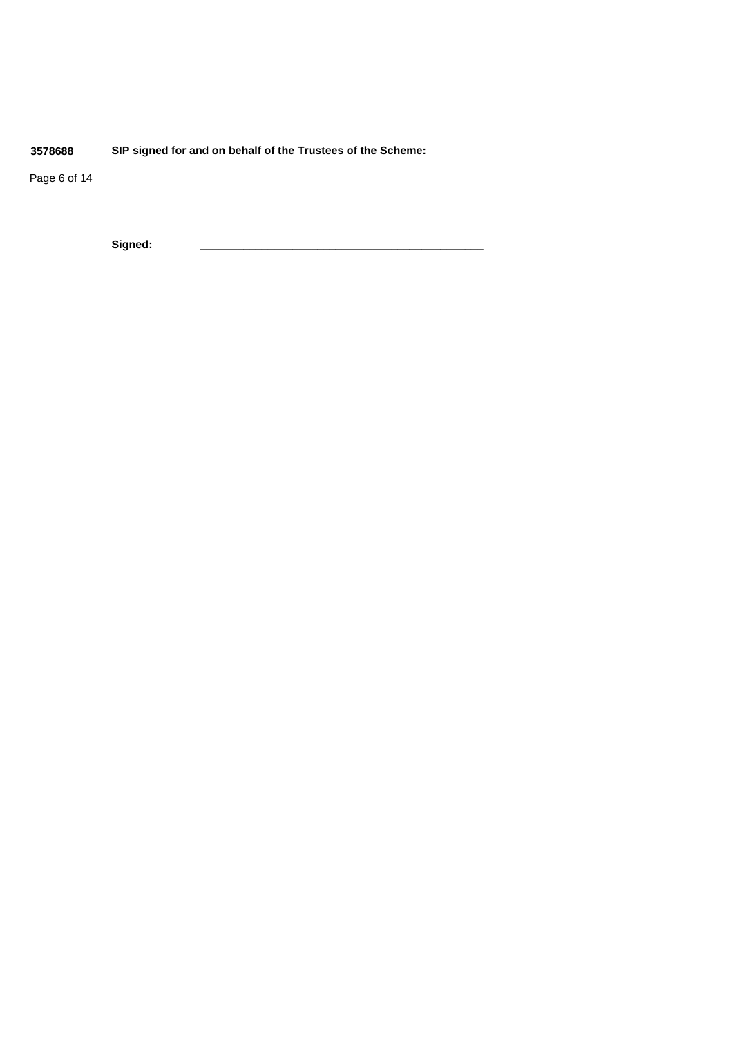**3578688 SIP signed for and on behalf of the Trustees of the Scheme:**

Page 6 of 14

**Signed: \_\_\_\_\_\_\_\_\_\_\_\_\_\_\_\_\_\_\_\_\_\_\_\_\_\_\_\_\_\_\_\_\_\_\_\_\_\_\_\_\_\_\_\_\_\_**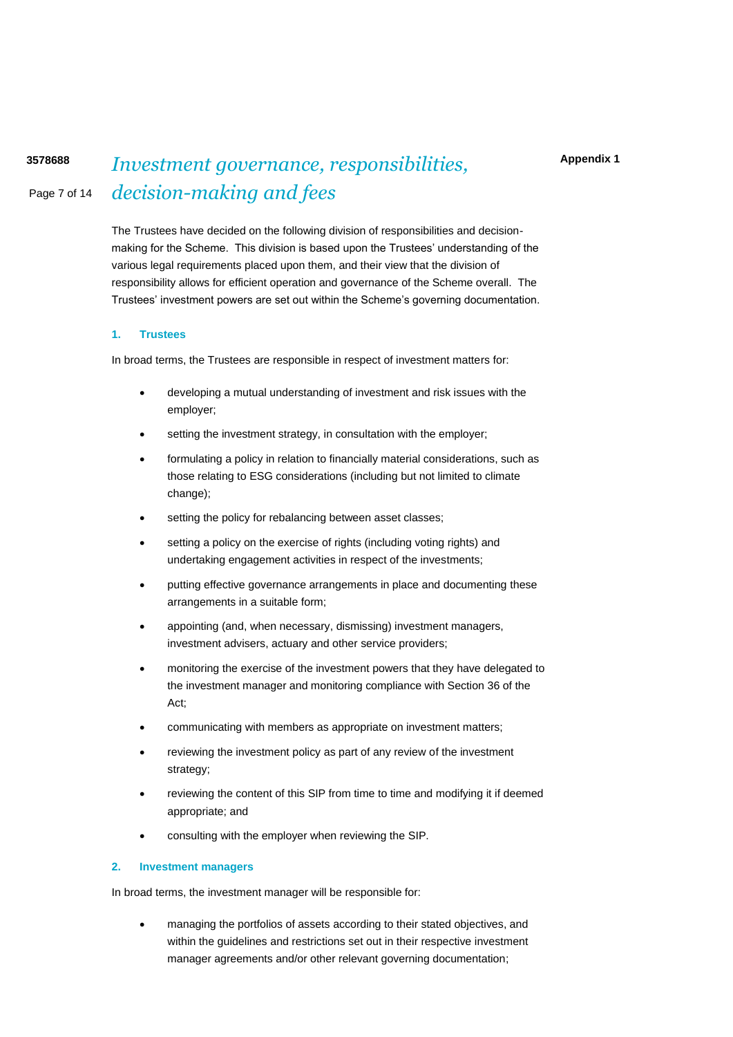# Page 7 of 14 **<sup>3578688</sup>** *Investment governance, responsibilities, decision-making and fees*

The Trustees have decided on the following division of responsibilities and decisionmaking for the Scheme. This division is based upon the Trustees' understanding of the various legal requirements placed upon them, and their view that the division of responsibility allows for efficient operation and governance of the Scheme overall. The Trustees' investment powers are set out within the Scheme's governing documentation.

#### **1. Trustees**

In broad terms, the Trustees are responsible in respect of investment matters for:

- developing a mutual understanding of investment and risk issues with the employer;
- setting the investment strategy, in consultation with the employer;
- formulating a policy in relation to financially material considerations, such as those relating to ESG considerations (including but not limited to climate change);
- setting the policy for rebalancing between asset classes;
- setting a policy on the exercise of rights (including voting rights) and undertaking engagement activities in respect of the investments;
- putting effective governance arrangements in place and documenting these arrangements in a suitable form;
- appointing (and, when necessary, dismissing) investment managers, investment advisers, actuary and other service providers;
- monitoring the exercise of the investment powers that they have delegated to the investment manager and monitoring compliance with Section 36 of the Act;
- communicating with members as appropriate on investment matters;
- reviewing the investment policy as part of any review of the investment strategy;
- reviewing the content of this SIP from time to time and modifying it if deemed appropriate; and
- consulting with the employer when reviewing the SIP.

#### **2. Investment managers**

In broad terms, the investment manager will be responsible for:

• managing the portfolios of assets according to their stated objectives, and within the guidelines and restrictions set out in their respective investment manager agreements and/or other relevant governing documentation;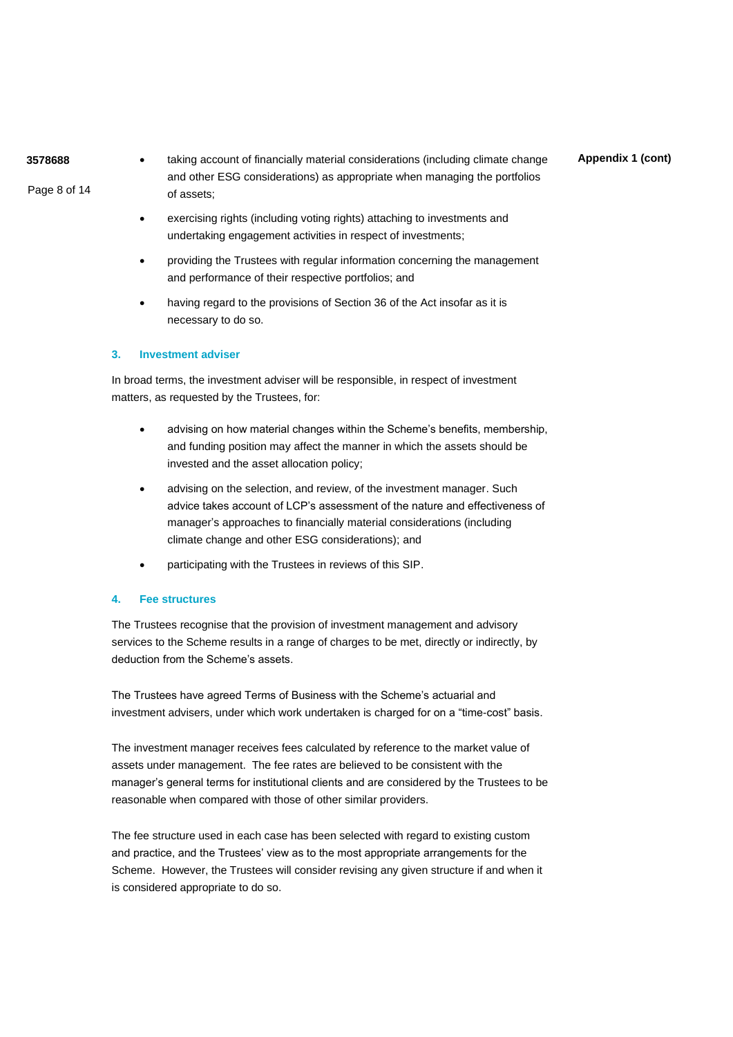Page 8 of 14

taking account of financially material considerations (including climate change and other ESG considerations) as appropriate when managing the portfolios of assets;

**Appendix 1 (cont)**

- exercising rights (including voting rights) attaching to investments and undertaking engagement activities in respect of investments;
- providing the Trustees with regular information concerning the management and performance of their respective portfolios; and
- having regard to the provisions of Section 36 of the Act insofar as it is necessary to do so.

### **3. Investment adviser**

In broad terms, the investment adviser will be responsible, in respect of investment matters, as requested by the Trustees, for:

- advising on how material changes within the Scheme's benefits, membership, and funding position may affect the manner in which the assets should be invested and the asset allocation policy;
- advising on the selection, and review, of the investment manager. Such advice takes account of LCP's assessment of the nature and effectiveness of manager's approaches to financially material considerations (including climate change and other ESG considerations); and
- participating with the Trustees in reviews of this SIP.

## **4. Fee structures**

The Trustees recognise that the provision of investment management and advisory services to the Scheme results in a range of charges to be met, directly or indirectly, by deduction from the Scheme's assets.

The Trustees have agreed Terms of Business with the Scheme's actuarial and investment advisers, under which work undertaken is charged for on a "time-cost" basis.

The investment manager receives fees calculated by reference to the market value of assets under management. The fee rates are believed to be consistent with the manager's general terms for institutional clients and are considered by the Trustees to be reasonable when compared with those of other similar providers.

The fee structure used in each case has been selected with regard to existing custom and practice, and the Trustees' view as to the most appropriate arrangements for the Scheme. However, the Trustees will consider revising any given structure if and when it is considered appropriate to do so.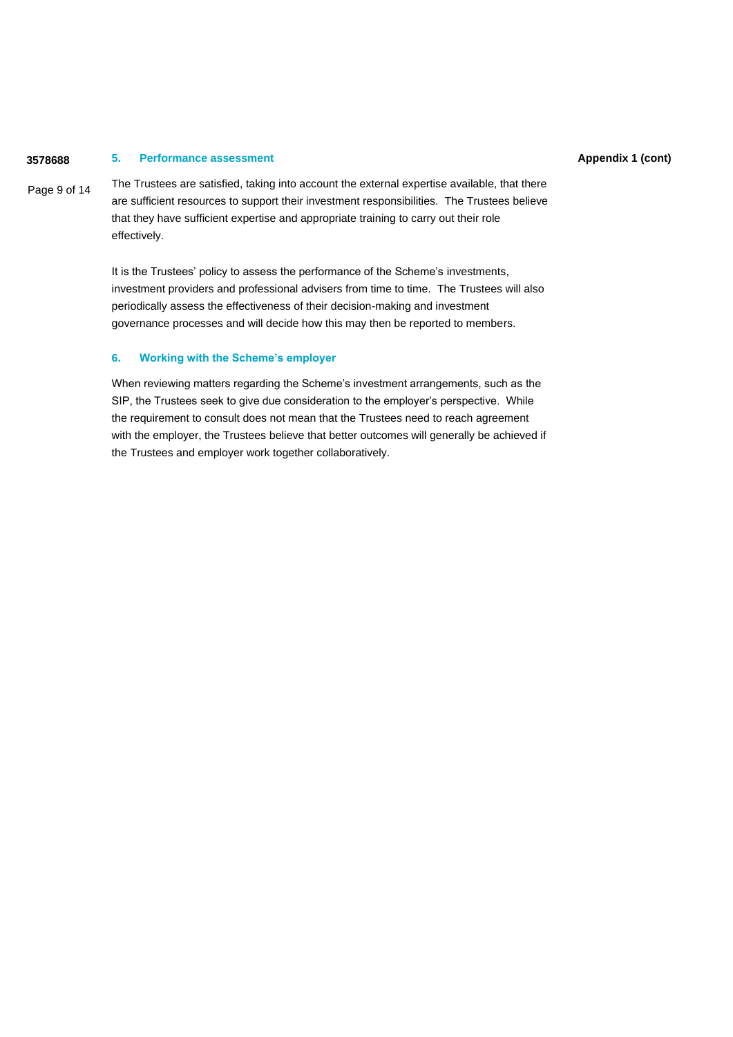#### **3578688 5. Performance assessment**

Page 9 of 14 The Trustees are satisfied, taking into account the external expertise available, that there are sufficient resources to support their investment responsibilities. The Trustees believe that they have sufficient expertise and appropriate training to carry out their role effectively.

> It is the Trustees' policy to assess the performance of the Scheme's investments, investment providers and professional advisers from time to time. The Trustees will also periodically assess the effectiveness of their decision-making and investment governance processes and will decide how this may then be reported to members.

### **6. Working with the Scheme's employer**

When reviewing matters regarding the Scheme's investment arrangements, such as the SIP, the Trustees seek to give due consideration to the employer's perspective. While the requirement to consult does not mean that the Trustees need to reach agreement with the employer, the Trustees believe that better outcomes will generally be achieved if the Trustees and employer work together collaboratively.

#### **Appendix 1 (cont)**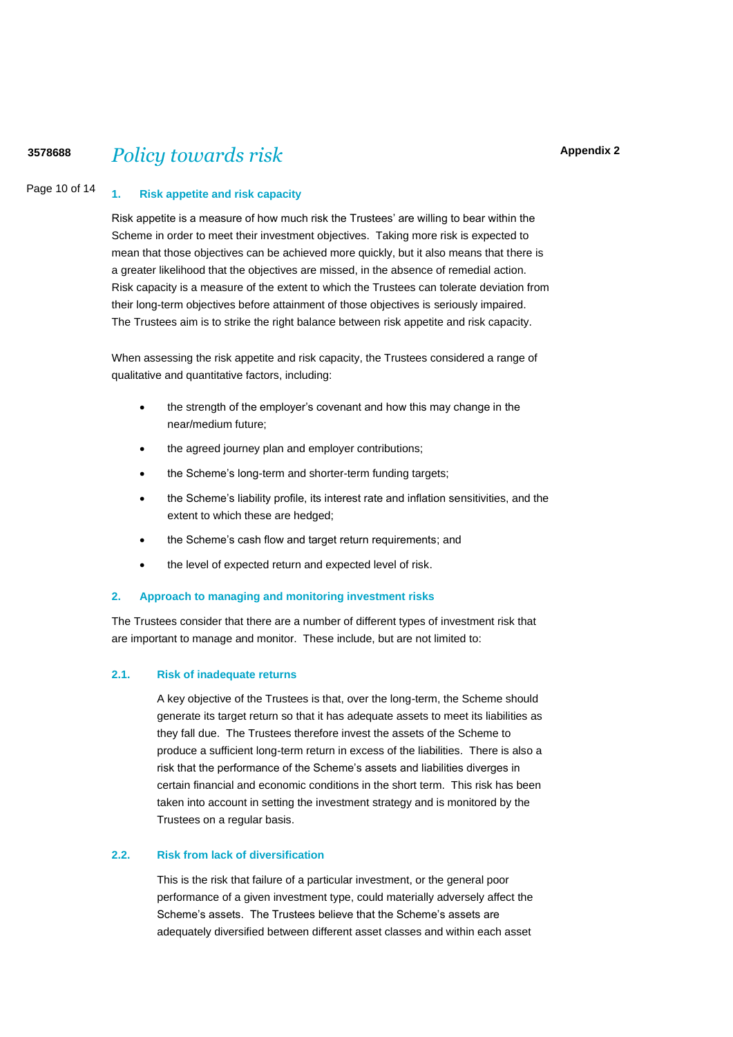#### **Appendix 2**

# **<sup>3578688</sup>** *Policy towards risk*

#### Page 10 of 14 **1. Risk appetite and risk capacity**

Risk appetite is a measure of how much risk the Trustees' are willing to bear within the Scheme in order to meet their investment objectives. Taking more risk is expected to mean that those objectives can be achieved more quickly, but it also means that there is a greater likelihood that the objectives are missed, in the absence of remedial action. Risk capacity is a measure of the extent to which the Trustees can tolerate deviation from their long-term objectives before attainment of those objectives is seriously impaired. The Trustees aim is to strike the right balance between risk appetite and risk capacity.

When assessing the risk appetite and risk capacity, the Trustees considered a range of qualitative and quantitative factors, including:

- the strength of the employer's covenant and how this may change in the near/medium future;
- the agreed journey plan and employer contributions;
- the Scheme's long-term and shorter-term funding targets;
- the Scheme's liability profile, its interest rate and inflation sensitivities, and the extent to which these are hedged;
- the Scheme's cash flow and target return requirements; and
- the level of expected return and expected level of risk.

#### **2. Approach to managing and monitoring investment risks**

The Trustees consider that there are a number of different types of investment risk that are important to manage and monitor. These include, but are not limited to:

#### **2.1. Risk of inadequate returns**

A key objective of the Trustees is that, over the long-term, the Scheme should generate its target return so that it has adequate assets to meet its liabilities as they fall due. The Trustees therefore invest the assets of the Scheme to produce a sufficient long-term return in excess of the liabilities. There is also a risk that the performance of the Scheme's assets and liabilities diverges in certain financial and economic conditions in the short term. This risk has been taken into account in setting the investment strategy and is monitored by the Trustees on a regular basis.

## **2.2. Risk from lack of diversification**

This is the risk that failure of a particular investment, or the general poor performance of a given investment type, could materially adversely affect the Scheme's assets. The Trustees believe that the Scheme's assets are adequately diversified between different asset classes and within each asset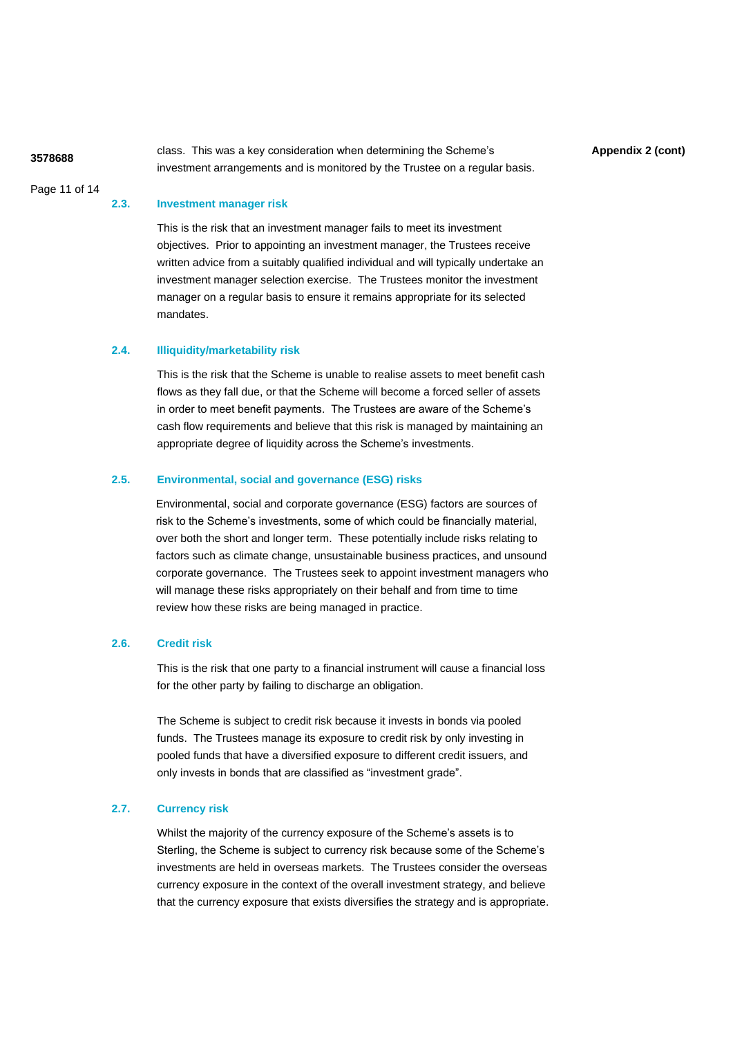Page 11 of 14

**Appendix 2 (cont) <sup>3578688</sup>** class. This was a key consideration when determining the Scheme's investment arrangements and is monitored by the Trustee on a regular basis.

#### **2.3. Investment manager risk**

This is the risk that an investment manager fails to meet its investment objectives. Prior to appointing an investment manager, the Trustees receive written advice from a suitably qualified individual and will typically undertake an investment manager selection exercise. The Trustees monitor the investment manager on a regular basis to ensure it remains appropriate for its selected mandates.

#### **2.4. Illiquidity/marketability risk**

This is the risk that the Scheme is unable to realise assets to meet benefit cash flows as they fall due, or that the Scheme will become a forced seller of assets in order to meet benefit payments. The Trustees are aware of the Scheme's cash flow requirements and believe that this risk is managed by maintaining an appropriate degree of liquidity across the Scheme's investments.

### **2.5. Environmental, social and governance (ESG) risks**

Environmental, social and corporate governance (ESG) factors are sources of risk to the Scheme's investments, some of which could be financially material, over both the short and longer term. These potentially include risks relating to factors such as climate change, unsustainable business practices, and unsound corporate governance. The Trustees seek to appoint investment managers who will manage these risks appropriately on their behalf and from time to time review how these risks are being managed in practice.

#### **2.6. Credit risk**

This is the risk that one party to a financial instrument will cause a financial loss for the other party by failing to discharge an obligation.

The Scheme is subject to credit risk because it invests in bonds via pooled funds. The Trustees manage its exposure to credit risk by only investing in pooled funds that have a diversified exposure to different credit issuers, and only invests in bonds that are classified as "investment grade".

#### **2.7. Currency risk**

Whilst the majority of the currency exposure of the Scheme's assets is to Sterling, the Scheme is subject to currency risk because some of the Scheme's investments are held in overseas markets. The Trustees consider the overseas currency exposure in the context of the overall investment strategy, and believe that the currency exposure that exists diversifies the strategy and is appropriate.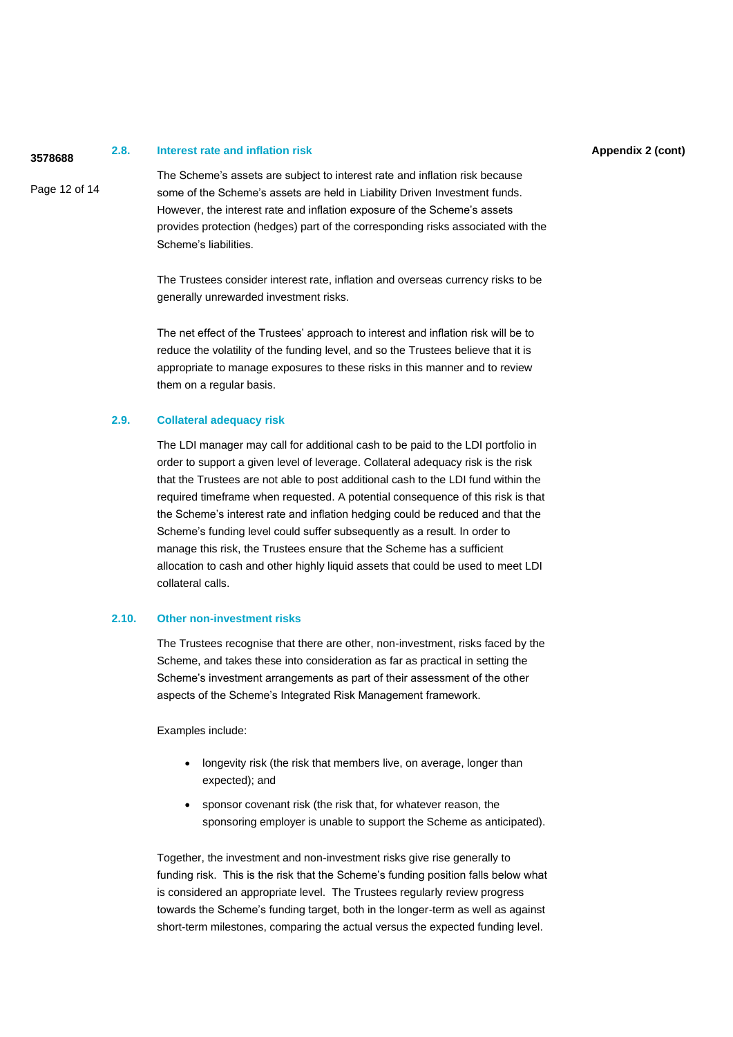# **Appendix 2 (cont) <sup>3578688</sup> 2.8. Interest rate and inflation risk**

Page 12 of 14

The Scheme's assets are subject to interest rate and inflation risk because some of the Scheme's assets are held in Liability Driven Investment funds. However, the interest rate and inflation exposure of the Scheme's assets provides protection (hedges) part of the corresponding risks associated with the Scheme's liabilities.

The Trustees consider interest rate, inflation and overseas currency risks to be generally unrewarded investment risks.

The net effect of the Trustees' approach to interest and inflation risk will be to reduce the volatility of the funding level, and so the Trustees believe that it is appropriate to manage exposures to these risks in this manner and to review them on a regular basis.

#### **2.9. Collateral adequacy risk**

The LDI manager may call for additional cash to be paid to the LDI portfolio in order to support a given level of leverage. Collateral adequacy risk is the risk that the Trustees are not able to post additional cash to the LDI fund within the required timeframe when requested. A potential consequence of this risk is that the Scheme's interest rate and inflation hedging could be reduced and that the Scheme's funding level could suffer subsequently as a result. In order to manage this risk, the Trustees ensure that the Scheme has a sufficient allocation to cash and other highly liquid assets that could be used to meet LDI collateral calls.

#### **2.10. Other non-investment risks**

The Trustees recognise that there are other, non-investment, risks faced by the Scheme, and takes these into consideration as far as practical in setting the Scheme's investment arrangements as part of their assessment of the other aspects of the Scheme's Integrated Risk Management framework.

Examples include:

- longevity risk (the risk that members live, on average, longer than expected); and
- sponsor covenant risk (the risk that, for whatever reason, the sponsoring employer is unable to support the Scheme as anticipated).

Together, the investment and non-investment risks give rise generally to funding risk. This is the risk that the Scheme's funding position falls below what is considered an appropriate level. The Trustees regularly review progress towards the Scheme's funding target, both in the longer-term as well as against short-term milestones, comparing the actual versus the expected funding level.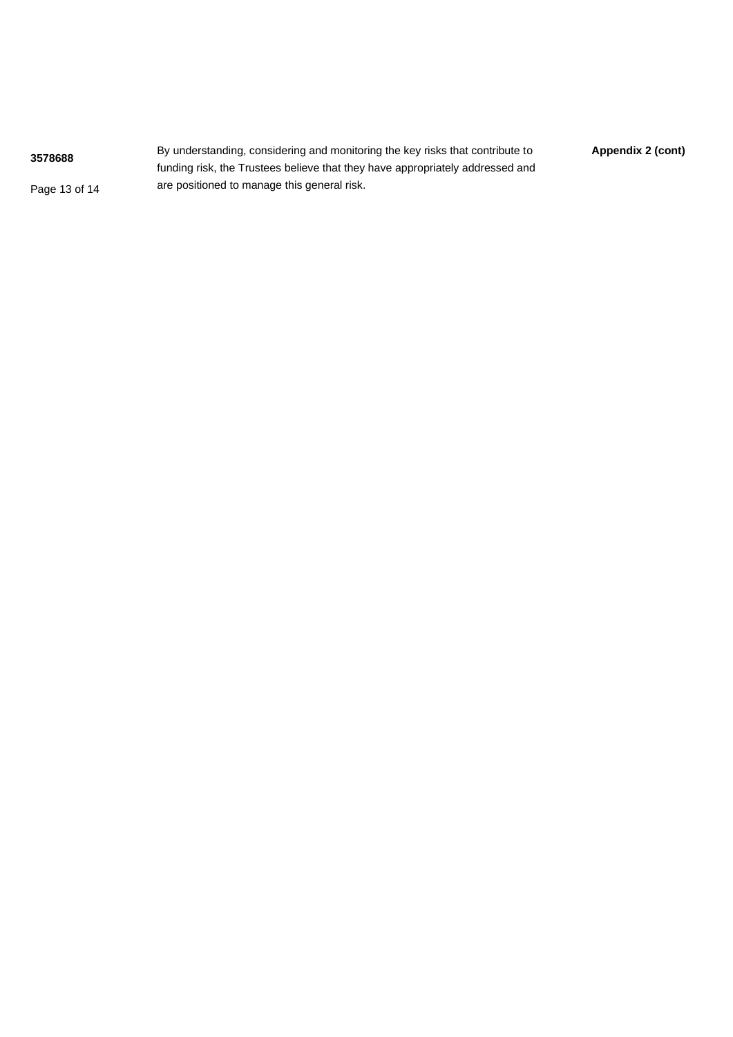**Appendix 2 (cont)** By understanding, considering and monitoring the key risks that contribute to **Appendix 2 (cont)** Page 13 of 14 funding risk, the Trustees believe that they have appropriately addressed and are positioned to manage this general risk.